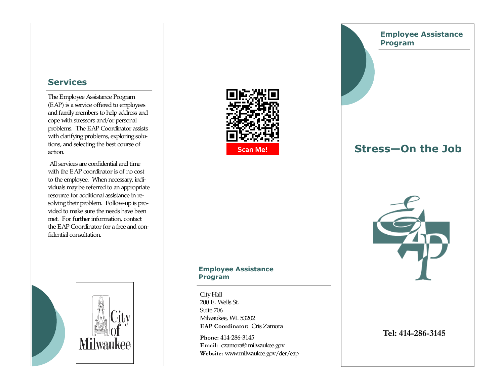## **Services**

The Employee Assistance Program (EAP) is a service offered to employees and family members to help address and cope with stressors and/or personal problems. The EAP Coordinator assists with clarifying problems, exploring solutions, and selecting the best course of action.

 All services are confidential and time with the EAP coordinator is of no cost to the employee. When necessary, individuals may be referred to an appropriate resource for additional assistance in resolving their problem. Follow-up is provided to make sure the needs have been met. For further information, contact the EAP Coordinator for a free and confidential consultation.





## **Employee Assistance Program**

# **Stress—On the Job**



### **Employee Assistance Program**

City Hall 200 E. Wells St. Suite 706 Milwaukee, WI. 53202 **EAP Coordinator:** Cris Zamora

**Phone:** 414-286-3145 **Email:** czamora@ milwaukee.gov**Website:** www.milwaukee.gov/der/eap

## **Tel: 414-286-3145**